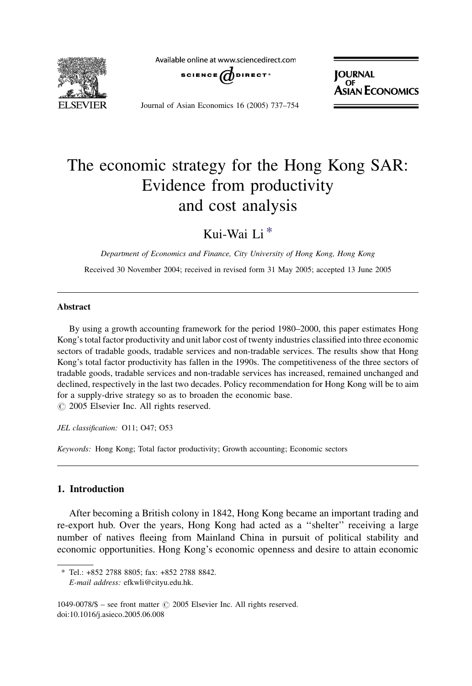

Available online at www.sciencedirect.com



**JOURNAL**  $OF$ **ASIAN ECONOMICS** 

Journal of Asian Economics 16 (2005) 737–754

## The economic strategy for the Hong Kong SAR: Evidence from productivity and cost analysis

Kui-Wai Li \*

Department of Economics and Finance, City University of Hong Kong, Hong Kong Received 30 November 2004; received in revised form 31 May 2005; accepted 13 June 2005

## Abstract

By using a growth accounting framework for the period 1980–2000, this paper estimates Hong Kong's total factor productivity and unit labor cost of twenty industries classified into three economic sectors of tradable goods, tradable services and non-tradable services. The results show that Hong Kong's total factor productivity has fallen in the 1990s. The competitiveness of the three sectors of tradable goods, tradable services and non-tradable services has increased, remained unchanged and declined, respectively in the last two decades. Policy recommendation for Hong Kong will be to aim for a supply-drive strategy so as to broaden the economic base.  $\odot$  2005 Elsevier Inc. All rights reserved.

JEL classification: O11; O47; O53

Keywords: Hong Kong; Total factor productivity; Growth accounting; Economic sectors

## 1. Introduction

After becoming a British colony in 1842, Hong Kong became an important trading and re-export hub. Over the years, Hong Kong had acted as a ''shelter'' receiving a large number of natives fleeing from Mainland China in pursuit of political stability and economic opportunities. Hong Kong's economic openness and desire to attain economic

<sup>\*</sup> Tel.: +852 2788 8805; fax: +852 2788 8842.

E-mail address: efkwli@cityu.edu.hk.

<sup>1049-0078/\$ –</sup> see front matter  $\odot$  2005 Elsevier Inc. All rights reserved. doi:10.1016/j.asieco.2005.06.008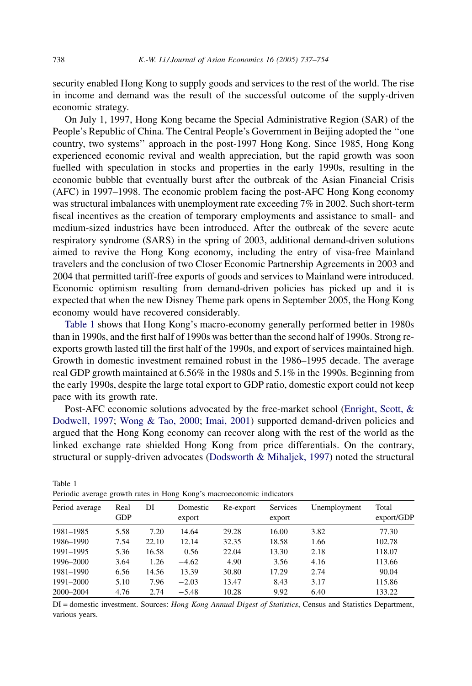security enabled Hong Kong to supply goods and services to the rest of the world. The rise in income and demand was the result of the successful outcome of the supply-driven economic strategy.

On July 1, 1997, Hong Kong became the Special Administrative Region (SAR) of the People's Republic of China. The Central People's Government in Beijing adopted the ''one country, two systems'' approach in the post-1997 Hong Kong. Since 1985, Hong Kong experienced economic revival and wealth appreciation, but the rapid growth was soon fuelled with speculation in stocks and properties in the early 1990s, resulting in the economic bubble that eventually burst after the outbreak of the Asian Financial Crisis (AFC) in 1997–1998. The economic problem facing the post-AFC Hong Kong economy was structural imbalances with unemployment rate exceeding 7% in 2002. Such short-term fiscal incentives as the creation of temporary employments and assistance to small- and medium-sized industries have been introduced. After the outbreak of the severe acute respiratory syndrome (SARS) in the spring of 2003, additional demand-driven solutions aimed to revive the Hong Kong economy, including the entry of visa-free Mainland travelers and the conclusion of two Closer Economic Partnership Agreements in 2003 and 2004 that permitted tariff-free exports of goods and services to Mainland were introduced. Economic optimism resulting from demand-driven policies has picked up and it is expected that when the new Disney Theme park opens in September 2005, the Hong Kong economy would have recovered considerably.

Table 1 shows that Hong Kong's macro-economy generally performed better in 1980s than in 1990s, and the first half of 1990s was better than the second half of 1990s. Strong reexports growth lasted till the first half of the 1990s, and export of services maintained high. Growth in domestic investment remained robust in the 1986–1995 decade. The average real GDP growth maintained at 6.56% in the 1980s and 5.1% in the 1990s. Beginning from the early 1990s, despite the large total export to GDP ratio, domestic export could not keep pace with its growth rate.

Post-AFC economic solutions advocated by the free-market school ([Enright, Scott, &](#page--1-0) [Dodwell, 1997;](#page--1-0) [Wong & Tao, 2000;](#page--1-0) [Imai, 2001\)](#page--1-0) supported demand-driven policies and argued that the Hong Kong economy can recover along with the rest of the world as the linked exchange rate shielded Hong Kong from price differentials. On the contrary, structural or supply-driven advocates ([Dodsworth & Mihaljek, 1997\)](#page--1-0) noted the structural

| I choute average growth rates in Tiong Kong's macrocconomic mulcators |                    |       |                    |           |                           |              |                     |
|-----------------------------------------------------------------------|--------------------|-------|--------------------|-----------|---------------------------|--------------|---------------------|
| Period average                                                        | Real<br><b>GDP</b> | DI    | Domestic<br>export | Re-export | <b>Services</b><br>export | Unemployment | Total<br>export/GDP |
| 1981-1985                                                             | 5.58               | 7.20  | 14.64              | 29.28     | 16.00                     | 3.82         | 77.30               |
| 1986-1990                                                             | 7.54               | 22.10 | 12.14              | 32.35     | 18.58                     | 1.66         | 102.78              |
| 1991-1995                                                             | 5.36               | 16.58 | 0.56               | 22.04     | 13.30                     | 2.18         | 118.07              |
| 1996-2000                                                             | 3.64               | 1.26  | $-4.62$            | 4.90      | 3.56                      | 4.16         | 113.66              |
| 1981-1990                                                             | 6.56               | 14.56 | 13.39              | 30.80     | 17.29                     | 2.74         | 90.04               |
| 1991-2000                                                             | 5.10               | 7.96  | $-2.03$            | 13.47     | 8.43                      | 3.17         | 115.86              |
| 2000-2004                                                             | 4.76               | 2.74  | $-5.48$            | 10.28     | 9.92                      | 6.40         | 133.22              |

Periodic average growth rates in Hong Kong's macroeconomic indicators

DI = domestic investment. Sources: Hong Kong Annual Digest of Statistics, Census and Statistics Department, various years.

Table 1